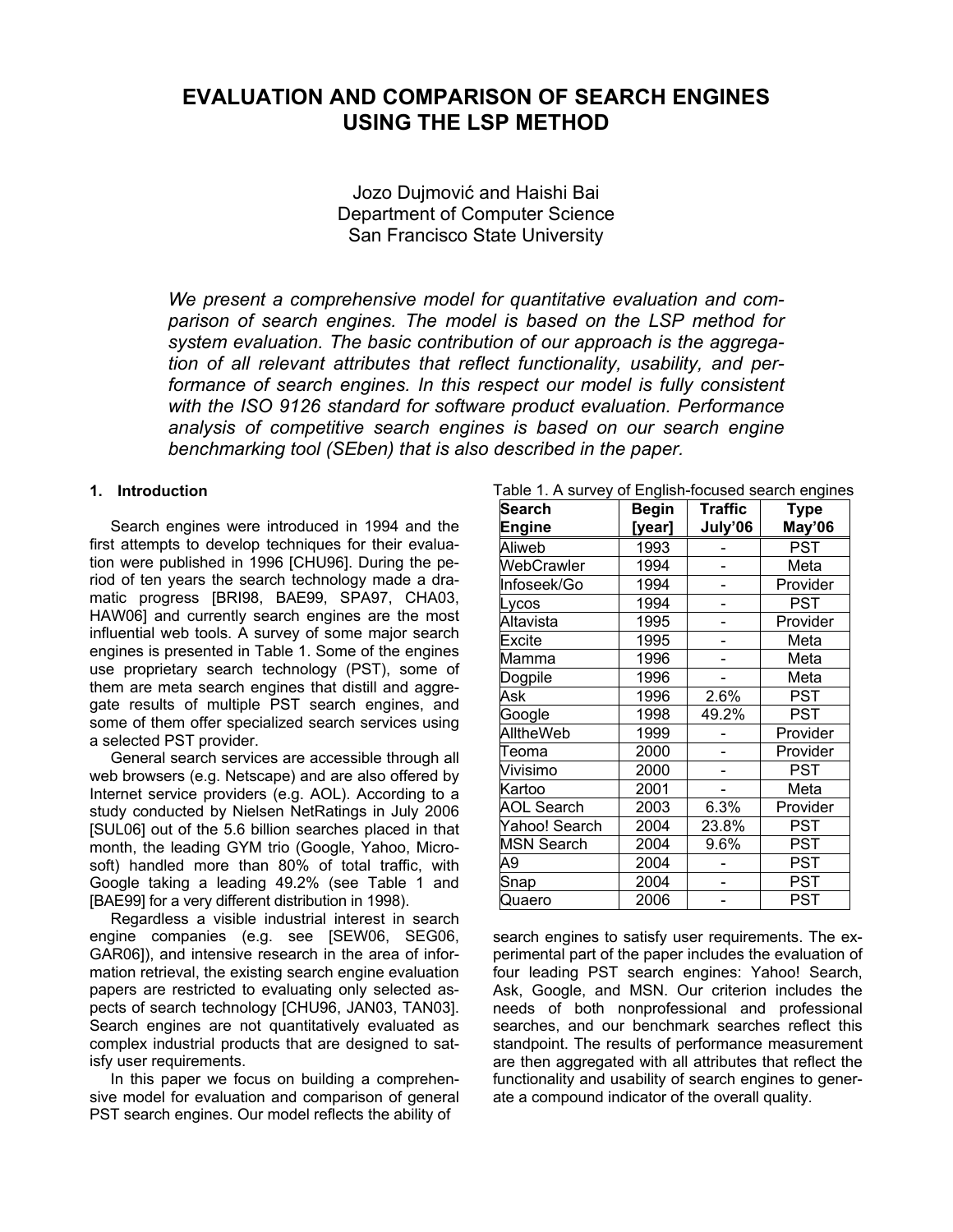# **EVALUATION AND COMPARISON OF SEARCH ENGINES USING THE LSP METHOD**

Jozo Dujmović and Haishi Bai Department of Computer Science San Francisco State University

*We present a comprehensive model for quantitative evaluation and comparison of search engines. The model is based on the LSP method for system evaluation. The basic contribution of our approach is the aggregation of all relevant attributes that reflect functionality, usability, and per*formance of search engines. In this respect our model is fully consistent *with the ISO 9126 standard for software product evaluation. Performance analysis of competitive search engines is based on our search engine benchmarking tool (SEben) that is also described in the paper.* 

# **1. Introduction**

Search engines were introduced in 1994 and the first attempts to develop techniques for their evaluation were published in 1996 [CHU96]. During the period of ten years the search technology made a dramatic progress [BRI98, BAE99, SPA97, CHA03, HAW06] and currently search engines are the most influential web tools. A survey of some major search engines is presented in Table 1. Some of the engines use proprietary search technology (PST), some of them are meta search engines that distill and aggregate results of multiple PST search engines, and some of them offer specialized search services using a selected PST provider.

General search services are accessible through all web browsers (e.g. Netscape) and are also offered by Internet service providers (e.g. AOL). According to a study conducted by Nielsen NetRatings in July 2006 [SUL06] out of the 5.6 billion searches placed in that month, the leading GYM trio (Google, Yahoo, Microsoft) handled more than 80% of total traffic, with Google taking a leading 49.2% (see Table 1 and [BAE99] for a very different distribution in 1998).

Regardless a visible industrial interest in search engine companies (e.g. see [SEW06, SEG06, GAR06]), and intensive research in the area of information retrieval, the existing search engine evaluation papers are restricted to evaluating only selected aspects of search technology [CHU96, JAN03, TAN03]. Search engines are not quantitatively evaluated as complex industrial products that are designed to satisfy user requirements.

In this paper we focus on building a comprehensive model for evaluation and comparison of general PST search engines. Our model reflects the ability of

| Table 1. A survey of English-focused search engines |              |                |             |  |
|-----------------------------------------------------|--------------|----------------|-------------|--|
| Search                                              | <b>Begin</b> | <b>Traffic</b> | <b>Type</b> |  |
| <b>Engine</b>                                       | [year]       | July'06        | May'06      |  |
| Aliweb                                              | 1993         |                | PST         |  |
| WebCrawler                                          | 1994         |                | Meta        |  |
| Infoseek/Go                                         | 1994         |                | Provider    |  |
| Lycos                                               | 1994         |                | PST         |  |
| Altavista                                           | 1995         |                | Provider    |  |
| Excite                                              | 1995         |                | Meta        |  |
| Mamma                                               | 1996         |                | Meta        |  |
| Dogpile                                             | 1996         |                | Meta        |  |
| Ask                                                 | 1996         | 2.6%           | <b>PST</b>  |  |
| Google                                              | 1998         | 49.2%          | PST         |  |
| <b>AlltheWeb</b>                                    | 1999         |                | Provider    |  |
| Teoma                                               | 2000         |                | Provider    |  |
| Vivisimo                                            | 2000         |                | PST         |  |
| Kartoo                                              | 2001         |                | Meta        |  |
| <b>AOL Search</b>                                   | 2003         | 6.3%           | Provider    |  |
| Yahoo! Search                                       | 2004         | 23.8%          | <b>PST</b>  |  |
| <b>MSN Search</b>                                   | 2004         | 9.6%           | <b>PST</b>  |  |
| А9                                                  | 2004         |                | <b>PST</b>  |  |
| Snap                                                | 2004         |                | <b>PST</b>  |  |
| Quaero                                              | 2006         |                | <b>PST</b>  |  |

search engines to satisfy user requirements. The experimental part of the paper includes the evaluation of four leading PST search engines: Yahoo! Search, Ask, Google, and MSN. Our criterion includes the needs of both nonprofessional and professional searches, and our benchmark searches reflect this standpoint. The results of performance measurement are then aggregated with all attributes that reflect the functionality and usability of search engines to generate a compound indicator of the overall quality.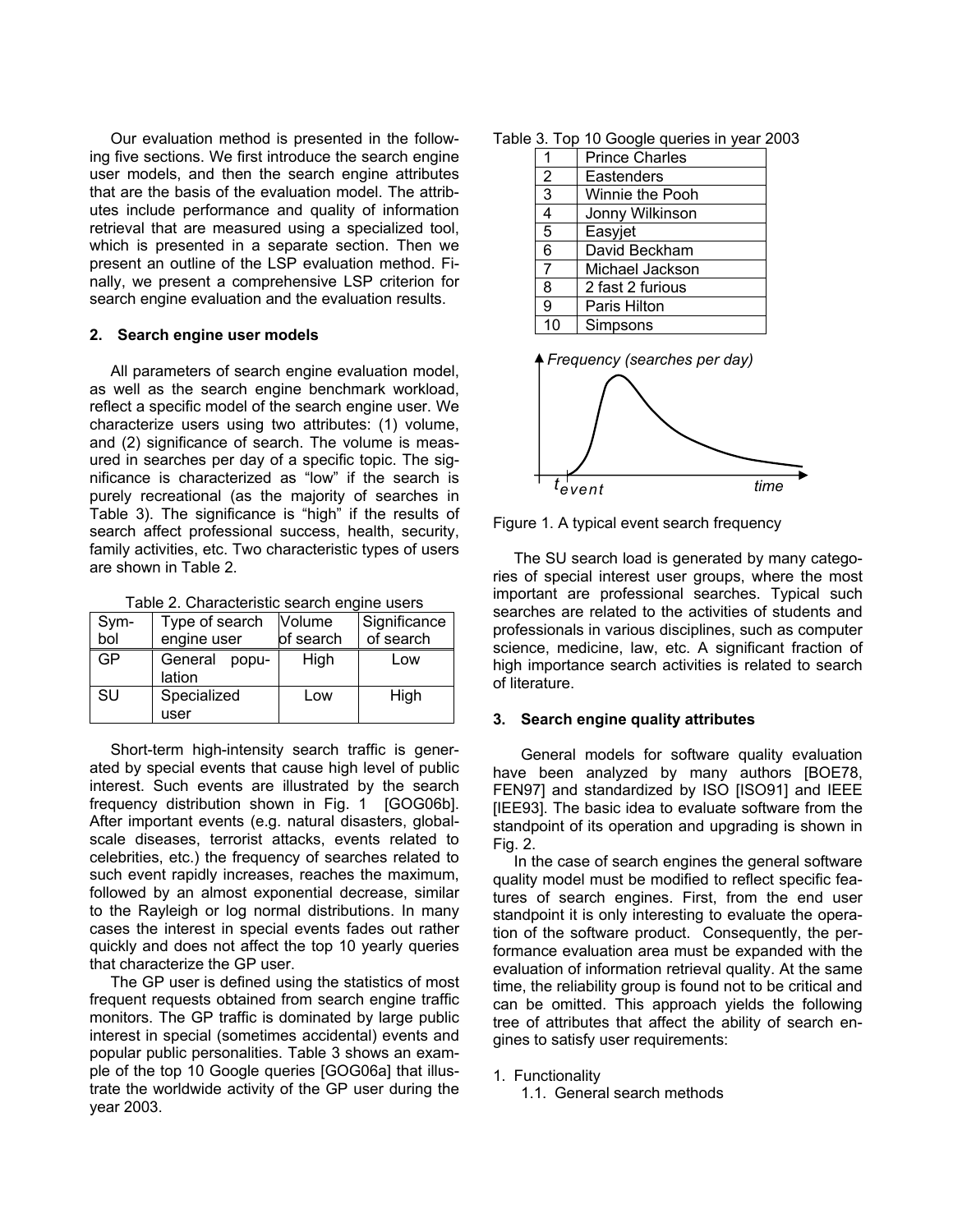Our evaluation method is presented in the following five sections. We first introduce the search engine user models, and then the search engine attributes that are the basis of the evaluation model. The attributes include performance and quality of information retrieval that are measured using a specialized tool, which is presented in a separate section. Then we present an outline of the LSP evaluation method. Finally, we present a comprehensive LSP criterion for search engine evaluation and the evaluation results.

## **2. Search engine user models**

All parameters of search engine evaluation model, as well as the search engine benchmark workload, reflect a specific model of the search engine user. We characterize users using two attributes: (1) volume, and (2) significance of search. The volume is measured in searches per day of a specific topic. The significance is characterized as "low" if the search is purely recreational (as the majority of searches in Table 3). The significance is "high" if the results of search affect professional success, health, security, family activities, etc. Two characteristic types of users are shown in Table 2.

Table 2. Characteristic search engine users

| Sym- | Type of search             | Volume    | Significance |  |
|------|----------------------------|-----------|--------------|--|
| bol  | engine user                | of search | of search    |  |
| GP   | General<br>popu-<br>lation | High      | Low          |  |
| SU   | Specialized                | Low       | High         |  |
|      | user                       |           |              |  |

Short-term high-intensity search traffic is generated by special events that cause high level of public interest. Such events are illustrated by the search frequency distribution shown in Fig. 1 [GOG06b]. After important events (e.g. natural disasters, globalscale diseases, terrorist attacks, events related to celebrities, etc.) the frequency of searches related to such event rapidly increases, reaches the maximum, followed by an almost exponential decrease, similar to the Rayleigh or log normal distributions. In many cases the interest in special events fades out rather quickly and does not affect the top 10 yearly queries that characterize the GP user.

The GP user is defined using the statistics of most frequent requests obtained from search engine traffic monitors. The GP traffic is dominated by large public interest in special (sometimes accidental) events and popular public personalities. Table 3 shows an example of the top 10 Google queries [GOG06a] that illustrate the worldwide activity of the GP user during the year 2003.

| Table 3. Top 10 Google queries in year 2003 |
|---------------------------------------------|
|---------------------------------------------|

|                | <b>Prince Charles</b> |
|----------------|-----------------------|
| $\overline{2}$ | Eastenders            |
| 3              | Winnie the Pooh       |
| 4              | Jonny Wilkinson       |
| 5              | Easyjet               |
| 6              | David Beckham         |
| 7              | Michael Jackson       |
| 8              | 2 fast 2 furious      |
| 9              | Paris Hilton          |
| 10             | Simpsons              |





Figure 1. A typical event search frequency

The SU search load is generated by many categories of special interest user groups, where the most important are professional searches. Typical such searches are related to the activities of students and professionals in various disciplines, such as computer science, medicine, law, etc. A significant fraction of high importance search activities is related to search of literature.

## **3. Search engine quality attributes**

General models for software quality evaluation have been analyzed by many authors [BOE78, FEN97] and standardized by ISO [ISO91] and IEEE [IEE93]. The basic idea to evaluate software from the standpoint of its operation and upgrading is shown in Fig. 2.

In the case of search engines the general software quality model must be modified to reflect specific features of search engines. First, from the end user standpoint it is only interesting to evaluate the operation of the software product. Consequently, the performance evaluation area must be expanded with the evaluation of information retrieval quality. At the same time, the reliability group is found not to be critical and can be omitted. This approach yields the following tree of attributes that affect the ability of search engines to satisfy user requirements:

1. Functionality

1.1. General search methods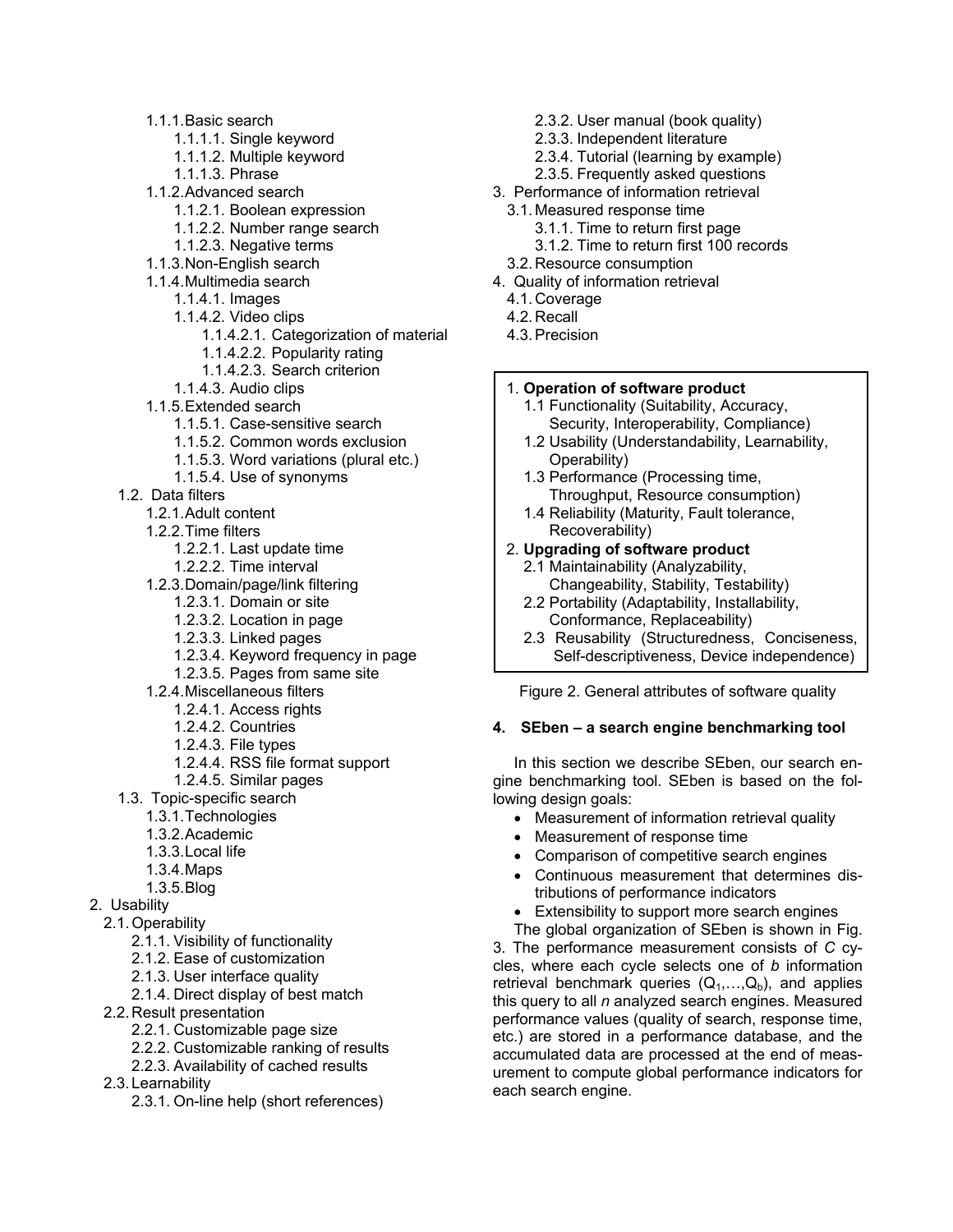- 1.1.1. Basic search
	- 1.1.1.1. Single keyword
	- 1.1.1.2. Multiple keyword
	- 1.1.1.3. Phrase
- 1.1.2. Advanced search
	- 1.1.2.1. Boolean expression
	- 1.1.2.2. Number range search
	- 1.1.2.3. Negative terms
- 1.1.3. Non-English search
- 1.1.4. Multimedia search
	- 1.1.4.1. Images
		- 1.1.4.2. Video clips
			- 1.1.4.2.1. Categorization of material
			- 1.1.4.2.2. Popularity rating
			- 1.1.4.2.3. Search criterion
	- 1.1.4.3. Audio clips
- 1.1.5. Extended search
	- 1.1.5.1. Case-sensitive search
	- 1.1.5.2. Common words exclusion
	- 1.1.5.3. Word variations (plural etc.)
	- 1.1.5.4. Use of synonyms
- 1.2. Data filters
	- 1.2.1. Adult content
	- 1.2.2. Time filters
		- 1.2.2.1. Last update time
		- 1.2.2.2. Time interval
	- 1.2.3. Domain/page/link filtering
		- 1.2.3.1. Domain or site
		- 1.2.3.2. Location in page
		- 1.2.3.3. Linked pages
		- 1.2.3.4. Keyword frequency in page
		- 1.2.3.5. Pages from same site
	- 1.2.4. Miscellaneous filters
		- 1.2.4.1. Access rights
		- 1.2.4.2. Countries
		- 1.2.4.3. File types
		- 1.2.4.4. RSS file format support
		- 1.2.4.5. Similar pages
- 1.3. Topic-specific search
	- 1.3.1. Technologies
	- 1.3.2. Academic
	- 1.3.3. Local life
	- 1.3.4. Maps
	- 1.3.5. Blog
- 2. Usability
- 2.1. Operability
	- 2.1.1. Visibility of functionality
	- 2.1.2. Ease of customization
	- 2.1.3. User interface quality
	- 2.1.4. Direct display of best match
- 2.2. Result presentation
	- 2.2.1. Customizable page size
	- 2.2.2. Customizable ranking of results
	- 2.2.3. Availability of cached results
- 2.3. Learnability
	- 2.3.1. On-line help (short references)
- 2.3.2. User manual (book quality)
- 2.3.3. Independent literature
- 2.3.4. Tutorial (learning by example)
- 2.3.5. Frequently asked questions
- 3. Performance of information retrieval
	- 3.1. Measured response time
		- 3.1.1. Time to return first page
		- 3.1.2. Time to return first 100 records
	- 3.2. Resource consumption
- 4. Quality of information retrieval
	- 4.1. Coverage
	- 4.2. Recall
	- 4.3. Precision

# 1. **Operation of software product**

- 1.1 Functionality (Suitability, Accuracy, Security, Interoperability, Compliance)
- 1.2 Usability (Understandability, Learnability, Operability)
- 1.3 Performance (Processing time, Throughput, Resource consumption)
- 1.4 Reliability (Maturity, Fault tolerance, Recoverability)

# 2. **Upgrading of software product**

- 2.1 Maintainability (Analyzability, Changeability, Stability, Testability)
- 2.2 Portability (Adaptability, Installability, Conformance, Replaceability)
- 2.3 Reusability (Structuredness, Conciseness, Self-descriptiveness, Device independence)

Figure 2. General attributes of software quality

# **4. SEben – a search engine benchmarking tool**

In this section we describe SEben, our search engine benchmarking tool. SEben is based on the following design goals:

- Measurement of information retrieval quality
- Measurement of response time
- Comparison of competitive search engines
- Continuous measurement that determines distributions of performance indicators
- Extensibility to support more search engines
- The global organization of SEben is shown in Fig.

3. The performance measurement consists of *C* cycles, where each cycle selects one of *b* information retrieval benchmark queries  $(Q_1, \ldots, Q_b)$ , and applies this query to all *n* analyzed search engines. Measured performance values (quality of search, response time, etc.) are stored in a performance database, and the accumulated data are processed at the end of measurement to compute global performance indicators for each search engine.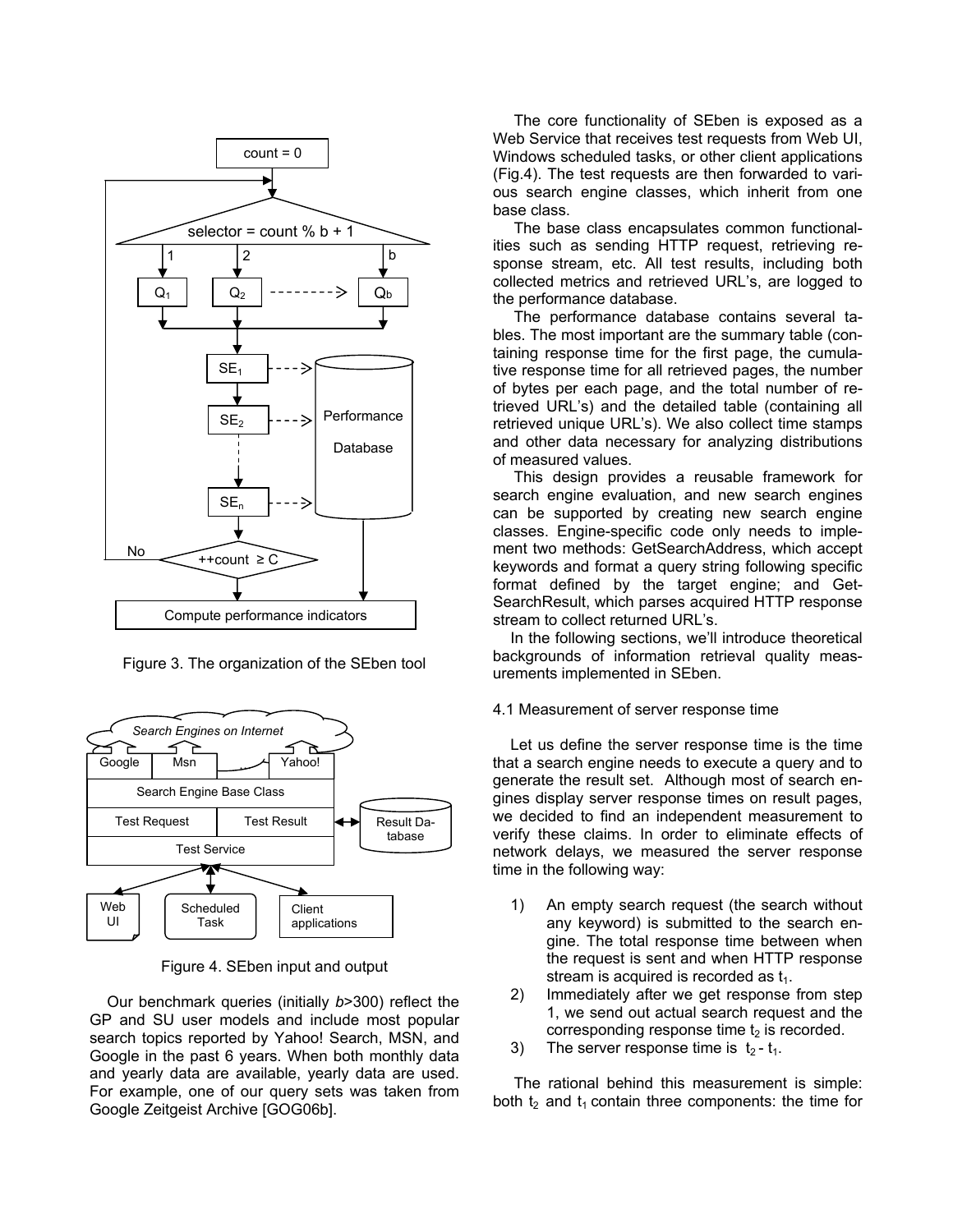

Figure 3. The organization of the SEben tool



Figure 4. SEben input and output

Our benchmark queries (initially *b*>300) reflect the GP and SU user models and include most popular search topics reported by Yahoo! Search, MSN, and Google in the past 6 years. When both monthly data and yearly data are available, yearly data are used. For example, one of our query sets was taken from Google Zeitgeist Archive [GOG06b].

The core functionality of SEben is exposed as a Web Service that receives test requests from Web UI, Windows scheduled tasks, or other client applications (Fig.4). The test requests are then forwarded to various search engine classes, which inherit from one base class.

The base class encapsulates common functionalities such as sending HTTP request, retrieving response stream, etc. All test results, including both collected metrics and retrieved URL's, are logged to the performance database.

The performance database contains several tables. The most important are the summary table (containing response time for the first page, the cumulative response time for all retrieved pages, the number of bytes per each page, and the total number of retrieved URL's) and the detailed table (containing all retrieved unique URL's). We also collect time stamps and other data necessary for analyzing distributions of measured values.

This design provides a reusable framework for search engine evaluation, and new search engines can be supported by creating new search engine classes. Engine-specific code only needs to implement two methods: GetSearchAddress, which accept keywords and format a query string following specific format defined by the target engine; and Get-SearchResult, which parses acquired HTTP response stream to collect returned URL's.

In the following sections, we'll introduce theoretical backgrounds of information retrieval quality measurements implemented in SEben.

#### 4.1 Measurement of server response time

Let us define the server response time is the time that a search engine needs to execute a query and to generate the result set. Although most of search engines display server response times on result pages, we decided to find an independent measurement to verify these claims. In order to eliminate effects of network delays, we measured the server response time in the following way:

- 1) An empty search request (the search without any keyword) is submitted to the search engine. The total response time between when the request is sent and when HTTP response stream is acquired is recorded as  $t_1$ .
- 2) Immediately after we get response from step 1, we send out actual search request and the corresponding response time  $t_2$  is recorded.
- 3) The server response time is  $t_2 t_1$ .

The rational behind this measurement is simple: both  $t_2$  and  $t_1$  contain three components: the time for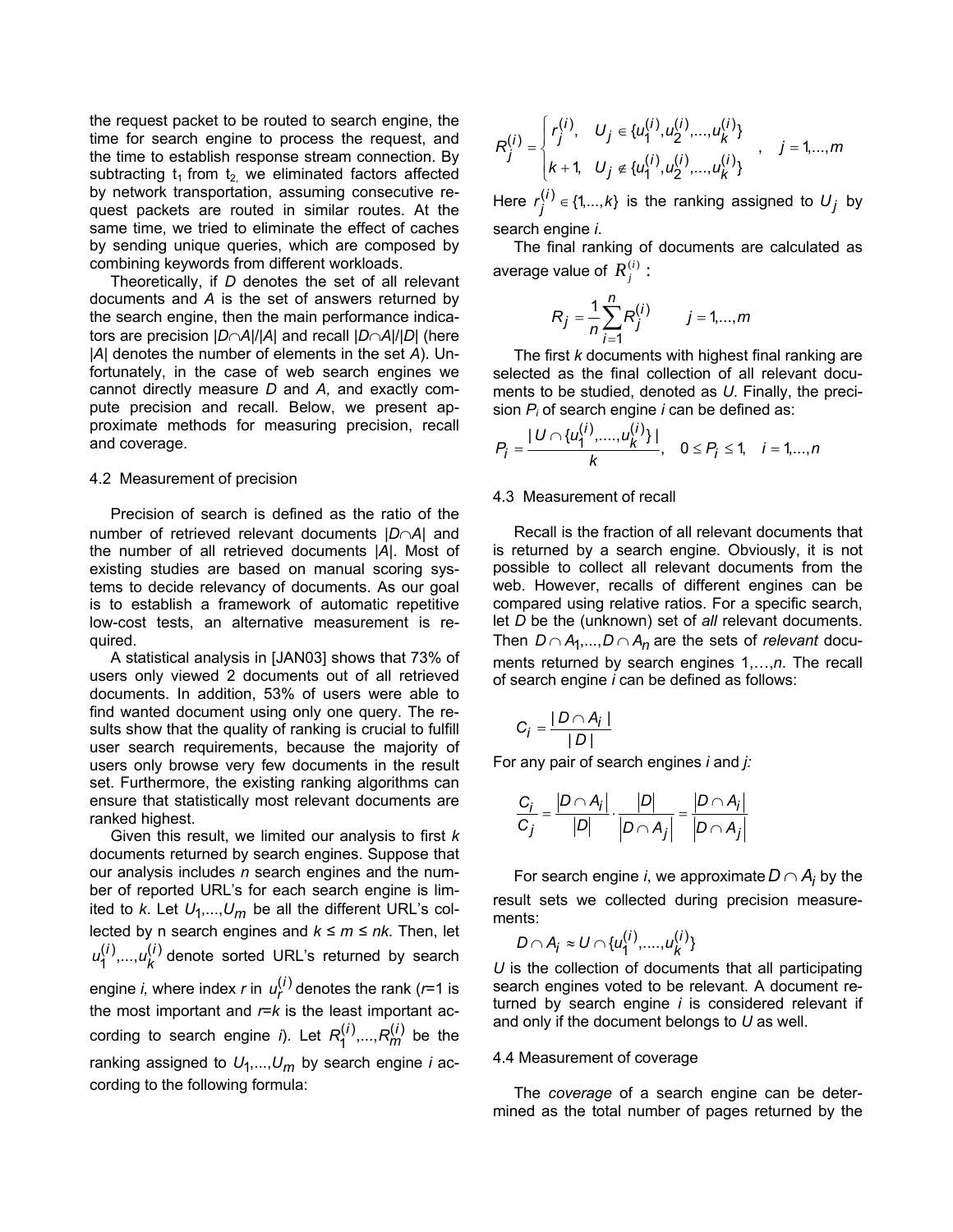the request packet to be routed to search engine, the time for search engine to process the request, and the time to establish response stream connection. By subtracting  $t_1$  from  $t_2$ , we eliminated factors affected by network transportation, assuming consecutive request packets are routed in similar routes. At the same time, we tried to eliminate the effect of caches by sending unique queries, which are composed by combining keywords from different workloads.

Theoretically, if *D* denotes the set of all relevant documents and *A* is the set of answers returned by the search engine, then the main performance indicators are precision |*D*∩*A*|/|*A*| and recall |*D*∩*A*|/|*D*| (here |*A*| denotes the number of elements in the set *A*). Unfortunately, in the case of web search engines we cannot directly measure *D* and *A,* and exactly compute precision and recall. Below, we present approximate methods for measuring precision, recall and coverage.

#### 4.2 Measurement of precision

Precision of search is defined as the ratio of the number of retrieved relevant documents |*D*∩*A*| and the number of all retrieved documents |*A*|. Most of existing studies are based on manual scoring systems to decide relevancy of documents. As our goal is to establish a framework of automatic repetitive low-cost tests, an alternative measurement is required.

A statistical analysis in [JAN03] shows that 73% of users only viewed 2 documents out of all retrieved documents. In addition, 53% of users were able to find wanted document using only one query. The results show that the quality of ranking is crucial to fulfill user search requirements, because the majority of users only browse very few documents in the result set. Furthermore, the existing ranking algorithms can ensure that statistically most relevant documents are ranked highest.

Given this result, we limited our analysis to first *k* documents returned by search engines. Suppose that our analysis includes *n* search engines and the number of reported URL's for each search engine is limited to *k*. Let  $U_1,...,U_m$  be all the different URL's collected by n search engines and *k ≤ m ≤ nk*. Then, let  $u_1^{(i)},...,u_k^{(i)}$  denote sorted URL's returned by search engine *i,* where index *r* in  $u_r^{(i)}$  denotes the rank (*r*=1 is the most important and  $r = k$  is the least important according to search engine *i*). Let  $R_1^{(i)}$ , ...,  $R_m^{(i)}$  be the ranking assigned to  $U_1,...,U_m$  by search engine *i* according to the following formula:

$$
R_j^{(i)} = \begin{cases} r_j^{(i)}, & U_j \in \{u_1^{(i)}, u_2^{(i)}, \dots, u_k^{(i)}\} \\ k+1, & U_j \notin \{u_1^{(i)}, u_2^{(i)}, \dots, u_k^{(i)}\} \end{cases}, \quad j = 1, \dots, m
$$

Here  $r_j^{(i)} \in \{1,...,k\}$  is the ranking assigned to  $U_j$  by search engine *i*.

The final ranking of documents are calculated as average value of  $R_i^{(i)}$ :

$$
R_j = \frac{1}{n} \sum_{i=1}^{n} R_j^{(i)} \qquad j = 1, ..., m
$$

The first *k* documents with highest final ranking are selected as the final collection of all relevant documents to be studied, denoted as *U*. Finally, the precision *Pi* of search engine *i* can be defined as:

$$
P_j = \frac{|U \cap \{u_1^{(i)},...,u_k^{(i)}\}|}{k}, \quad 0 \le P_j \le 1, \quad i = 1,...,n
$$

#### 4.3 Measurement of recall

Recall is the fraction of all relevant documents that is returned by a search engine. Obviously, it is not possible to collect all relevant documents from the web. However, recalls of different engines can be compared using relative ratios. For a specific search, let *D* be the (unknown) set of *all* relevant documents. Then  $D \cap A_1,..., D \cap A_n$  are the sets of *relevant* documents returned by search engines 1,…,*n*. The recall of search engine *i* can be defined as follows:

$$
C_j = \frac{|D \cap A_j|}{|D|}
$$

For any pair of search engines *i* and *j:* 

$$
\frac{C_i}{C_j} = \frac{|D \cap A_i|}{|D|} \cdot \frac{|D|}{|D \cap A_j|} = \frac{|D \cap A_i|}{|D \cap A_j|}
$$

For search engine *i*, we approximate  $D \cap A_i$  by the result sets we collected during precision measurements:

$$
D\cap A_j\approx U\cap\{u_1^{(i)},...,u_k^{(i)}\}
$$

*U* is the collection of documents that all participating search engines voted to be relevant. A document returned by search engine *i* is considered relevant if and only if the document belongs to *U* as well.

#### 4.4 Measurement of coverage

The *coverage* of a search engine can be determined as the total number of pages returned by the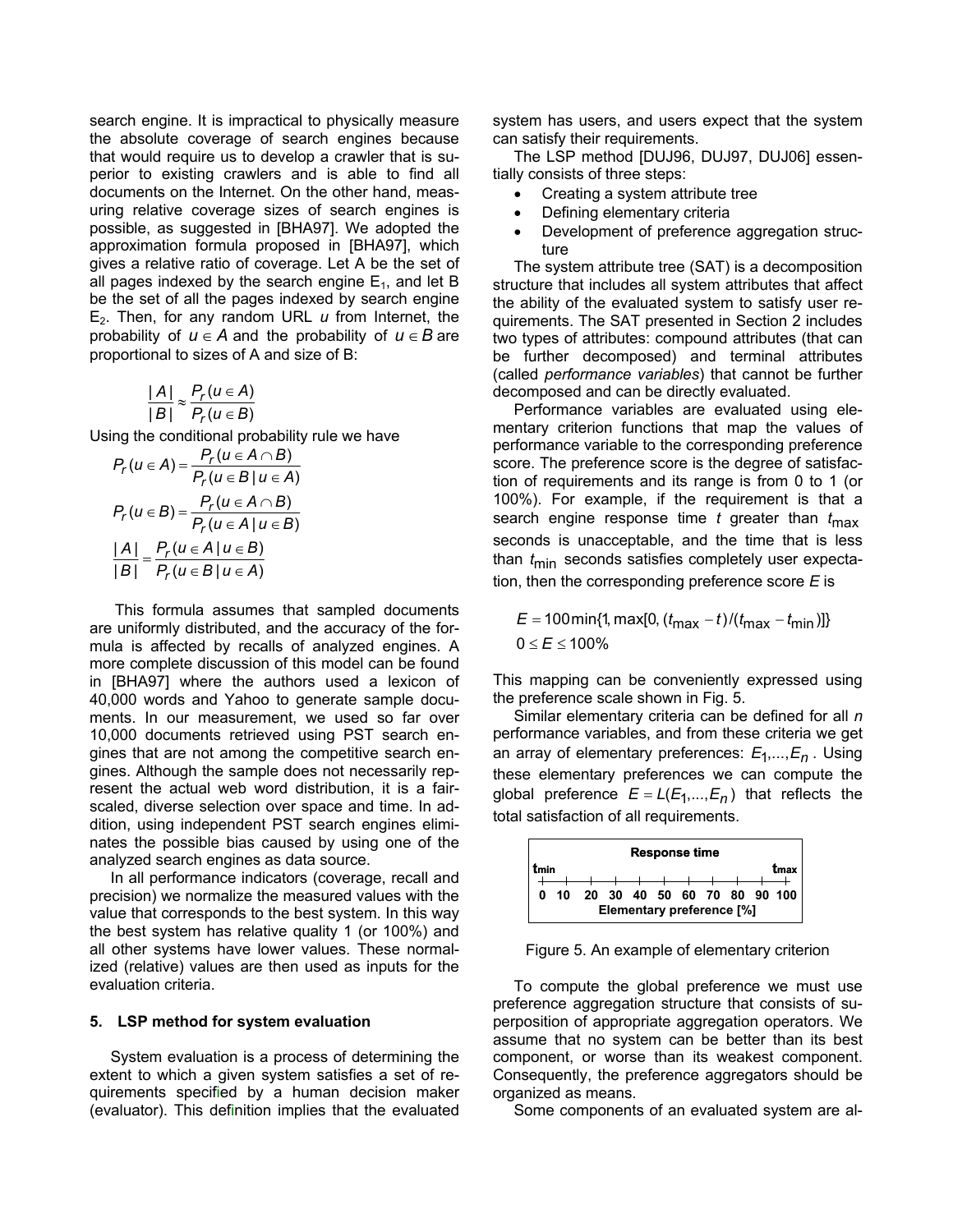search engine. It is impractical to physically measure the absolute coverage of search engines because that would require us to develop a crawler that is superior to existing crawlers and is able to find all documents on the Internet. On the other hand, measuring relative coverage sizes of search engines is possible, as suggested in [BHA97]. We adopted the approximation formula proposed in [BHA97], which gives a relative ratio of coverage. Let A be the set of all pages indexed by the search engine  $E_1$ , and let B be the set of all the pages indexed by search engine E2. Then, for any random URL *u* from Internet, the probability of  $u \in A$  and the probability of  $u \in B$  are proportional to sizes of A and size of B:

$$
\frac{|A|}{|B|} \approx \frac{P_r(u \in A)}{P_r(u \in B)}
$$

Using the conditional probability rule we have

$$
P_r(u \in A) = \frac{P_r(u \in A \cap B)}{P_r(u \in B | u \in A)}
$$

$$
P_r(u \in B) = \frac{P_r(u \in A \cap B)}{P_r(u \in A | u \in B)}
$$

$$
\frac{|A|}{|B|} = \frac{P_r(u \in A | u \in B)}{P_r(u \in B | u \in A)}
$$

 This formula assumes that sampled documents are uniformly distributed, and the accuracy of the formula is affected by recalls of analyzed engines. A more complete discussion of this model can be found in [BHA97] where the authors used a lexicon of 40,000 words and Yahoo to generate sample documents. In our measurement, we used so far over 10,000 documents retrieved using PST search engines that are not among the competitive search engines. Although the sample does not necessarily represent the actual web word distribution, it is a fairscaled, diverse selection over space and time. In addition, using independent PST search engines eliminates the possible bias caused by using one of the analyzed search engines as data source.

In all performance indicators (coverage, recall and precision) we normalize the measured values with the value that corresponds to the best system. In this way the best system has relative quality 1 (or 100%) and all other systems have lower values. These normalized (relative) values are then used as inputs for the evaluation criteria.

### **5. LSP method for system evaluation**

System evaluation is a process of determining the extent to which a given system satisfies a set of requirements specified by a human decision maker (evaluator). This definition implies that the evaluated

system has users, and users expect that the system can satisfy their requirements.

The LSP method [DUJ96, DUJ97, DUJ06] essentially consists of three steps:

- Creating a system attribute tree
- Defining elementary criteria
- Development of preference aggregation structure

The system attribute tree (SAT) is a decomposition structure that includes all system attributes that affect the ability of the evaluated system to satisfy user requirements. The SAT presented in Section 2 includes two types of attributes: compound attributes (that can be further decomposed) and terminal attributes (called *performance variables*) that cannot be further decomposed and can be directly evaluated.

Performance variables are evaluated using elementary criterion functions that map the values of performance variable to the corresponding preference score. The preference score is the degree of satisfaction of requirements and its range is from 0 to 1 (or 100%). For example, if the requirement is that a search engine response time *t* greater than *t* max seconds is unacceptable, and the time that is less than  $t_{\text{min}}$  seconds satisfies completely user expectation, then the corresponding preference score *E* is

*E* = 100 min{1, max[0, ( $t_{\sf max}$  –  $t$ )/( $t_{\sf max}$  –  $t_{\sf min}$ )]} 0 ≤  $E$  ≤ 100%

This mapping can be conveniently expressed using the preference scale shown in Fig. 5.

an array of elementary preferences:  $E_1, ..., E_n$ . Using global preference  $E = L(E_1, ..., E_n)$  that reflects the Similar elementary criteria can be defined for all *n*  performance variables, and from these criteria we get these elementary preferences we can compute the total satisfaction of all requirements.



Figure 5. An example of elementary criterion

To compute the global preference we must use preference aggregation structure that consists of superposition of appropriate aggregation operators. We assume that no system can be better than its best component, or worse than its weakest component. Consequently, the preference aggregators should be organized as means.

Some components of an evaluated system are al-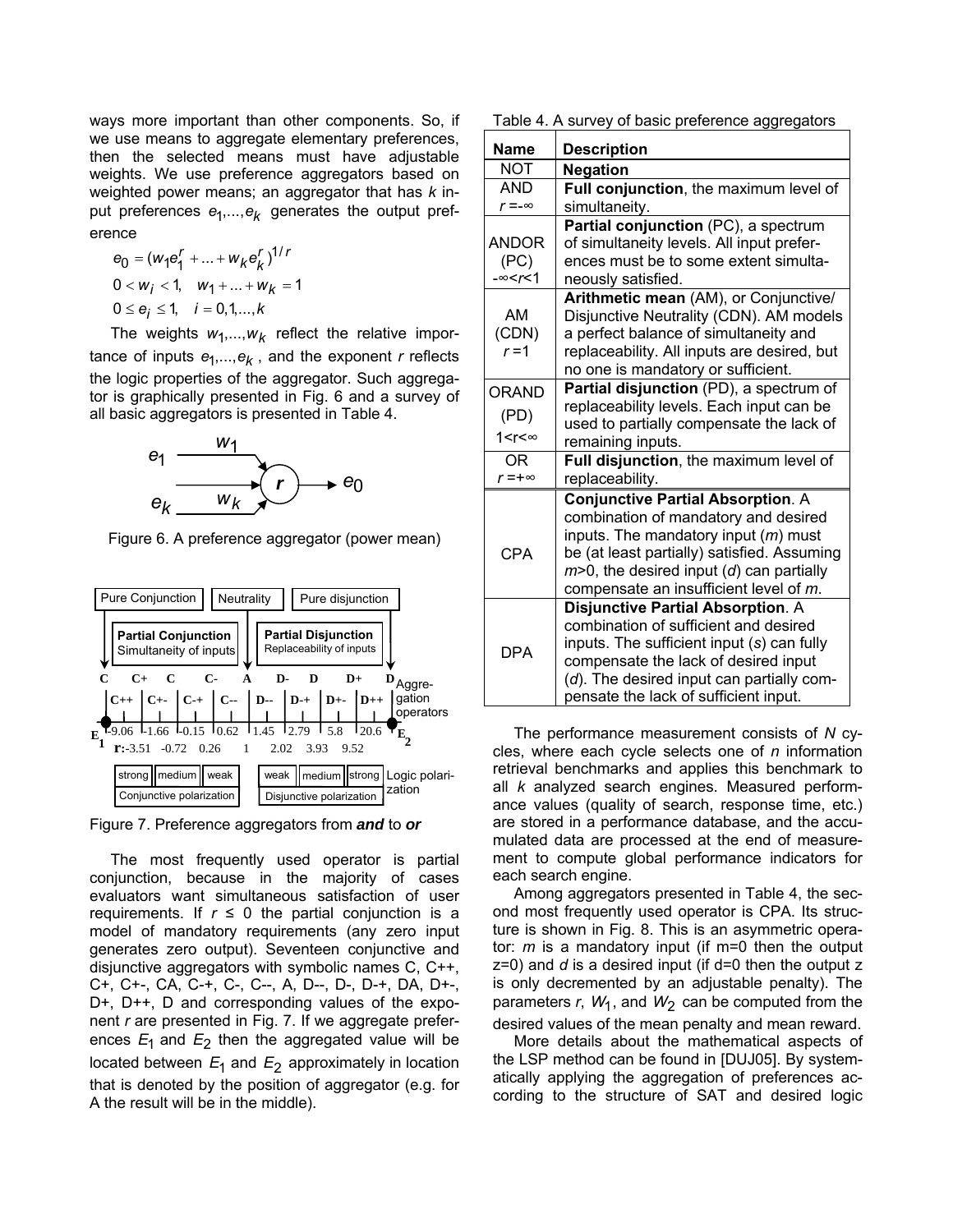ways more important than other components. So, if we use means to aggregate elementary preferences, then the selected means must have adjustable weights. We use preference aggregators based on weighted power means; an aggregator that has *k* input preferences  $e_1,...,e_k$  generates the output preference

$$
e_0 = (w_1 e_1^r + \dots + w_k e_k^r)^{1/r}
$$
  
0 < w<sub>i</sub> < 1, w<sub>1</sub> + \dots + w<sub>k</sub> = 1  
0 < e<sub>i</sub> < 1, i = 0, 1, ..., k

The weights  $w_1,...,w_k$  reflect the relative importance of inputs  $e_1,...,e_k$ , and the exponent *r* reflects the logic properties of the aggregator. Such aggregator is graphically presented in Fig. 6 and a survey of all basic aggregators is presented in Table 4.



Figure 6. A preference aggregator (power mean)



Figure 7. Preference aggregators from *and* to *or*

The most frequently used operator is partial conjunction, because in the majority of cases evaluators want simultaneous satisfaction of user requirements. If  $r \le 0$  the partial conjunction is a model of mandatory requirements (any zero input generates zero output). Seventeen conjunctive and disjunctive aggregators with symbolic names C, C++, C+, C+-, CA, C-+, C-, C--, A, D--, D-, D-+, DA, D+-, D+, D++, D and corresponding values of the exponent *r* are presented in Fig. 7. If we aggregate preferences  $E_1$  and  $E_2$  then the aggregated value will be located between  $E_1$  and  $E_2$  approximately in location that is denoted by the position of aggregator (e.g. for A the result will be in the middle).

Table 4. A survey of basic preference aggregators

| <b>Name</b>                                                                                  | <b>Description</b>                                                                                                                                                                                                                                                     |
|----------------------------------------------------------------------------------------------|------------------------------------------------------------------------------------------------------------------------------------------------------------------------------------------------------------------------------------------------------------------------|
| NOT                                                                                          | <b>Negation</b>                                                                                                                                                                                                                                                        |
| <b>AND</b>                                                                                   | Full conjunction, the maximum level of                                                                                                                                                                                                                                 |
| $r = -\infty$                                                                                | simultaneity.                                                                                                                                                                                                                                                          |
| <b>ANDOR</b><br>(PC)<br>$-\infty < r < 1$                                                    | Partial conjunction (PC), a spectrum<br>of simultaneity levels. All input prefer-<br>ences must be to some extent simulta-<br>neously satisfied.                                                                                                                       |
| AM<br>(CDN)<br>$r = 1$                                                                       | Arithmetic mean (AM), or Conjunctive/<br>Disjunctive Neutrality (CDN). AM models<br>a perfect balance of simultaneity and<br>replaceability. All inputs are desired, but<br>no one is mandatory or sufficient.                                                         |
| ORAND<br>(PD)                                                                                | Partial disjunction (PD), a spectrum of<br>replaceability levels. Each input can be                                                                                                                                                                                    |
| 1 <r<∞< td=""><td>used to partially compensate the lack of<br/>remaining inputs.</td></r<∞<> | used to partially compensate the lack of<br>remaining inputs.                                                                                                                                                                                                          |
| ΟR<br>$r = +\infty$                                                                          | Full disjunction, the maximum level of<br>replaceability.                                                                                                                                                                                                              |
| CPA                                                                                          | <b>Conjunctive Partial Absorption. A</b><br>combination of mandatory and desired<br>inputs. The mandatory input $(m)$ must<br>be (at least partially) satisfied. Assuming<br>$m$ >0, the desired input ( $d$ ) can partially<br>compensate an insufficient level of m. |
| <b>DPA</b>                                                                                   | <b>Disjunctive Partial Absorption. A</b><br>combination of sufficient and desired<br>inputs. The sufficient input (s) can fully<br>compensate the lack of desired input<br>(d). The desired input can partially com-<br>pensate the lack of sufficient input.          |

The performance measurement consists of *N* cycles, where each cycle selects one of *n* information retrieval benchmarks and applies this benchmark to all *k* analyzed search engines. Measured performance values (quality of search, response time, etc.) are stored in a performance database, and the accumulated data are processed at the end of measurement to compute global performance indicators for each search engine.

Among aggregators presented in Table 4, the second most frequently used operator is CPA. Its structure is shown in Fig. 8. This is an asymmetric operator: *m* is a mandatory input (if m=0 then the output z=0) and *d* is a desired input (if d=0 then the output z is only decremented by an adjustable penalty). The parameters  $r$ ,  $W_1$ , and  $W_2$  can be computed from the desired values of the mean penalty and mean reward.

More details about the mathematical aspects of the LSP method can be found in [DUJ05]. By systematically applying the aggregation of preferences according to the structure of SAT and desired logic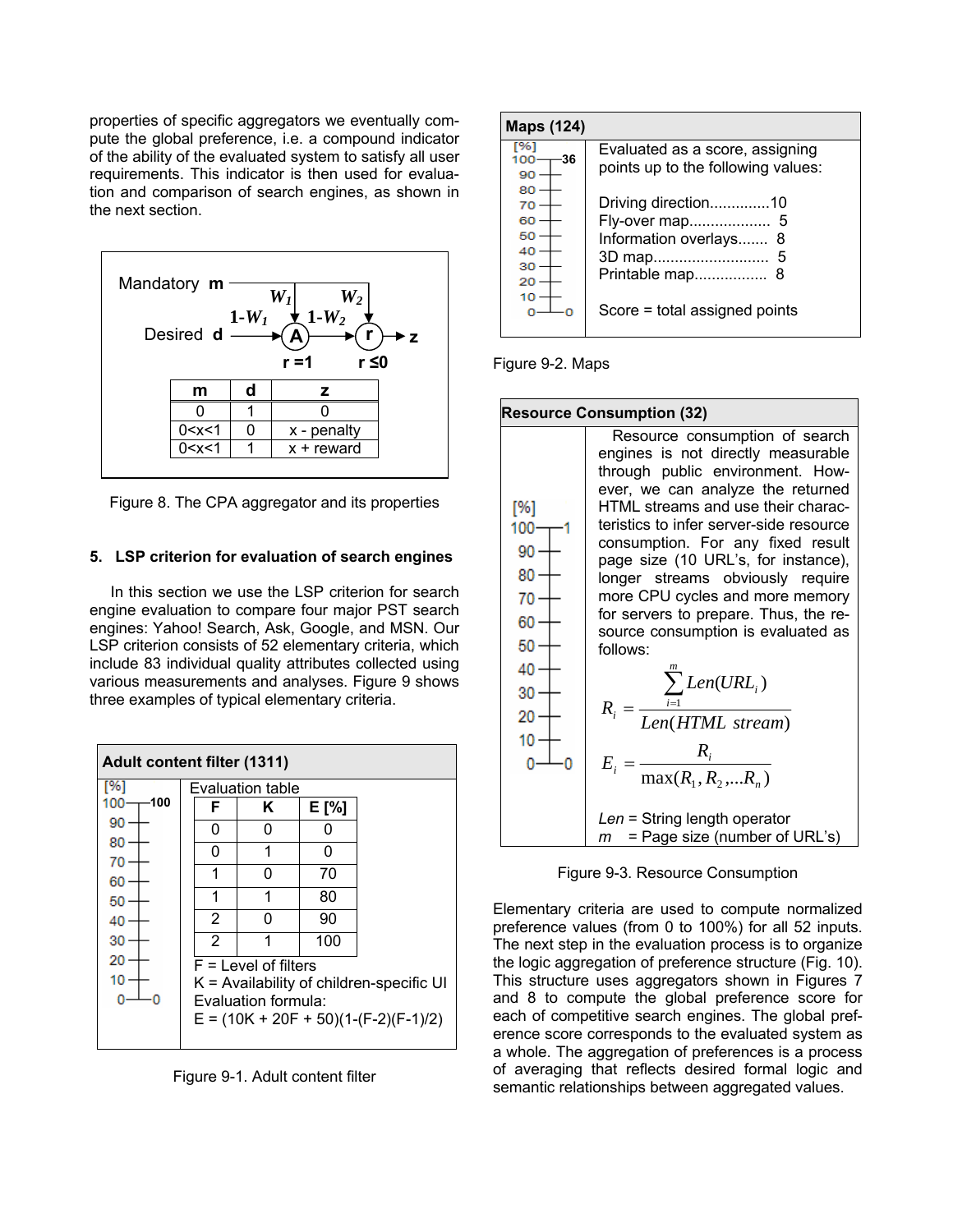properties of specific aggregators we eventually compute the global preference, i.e. a compound indicator of the ability of the evaluated system to satisfy all user requirements. This indicator is then used for evaluation and comparison of search engines, as shown in the next section.



Figure 8. The CPA aggregator and its properties

# **5. LSP criterion for evaluation of search engines**

In this section we use the LSP criterion for search engine evaluation to compare four major PST search engines: Yahoo! Search, Ask, Google, and MSN. Our LSP criterion consists of 52 elementary criteria, which include 83 individual quality attributes collected using various measurements and analyses. Figure 9 shows three examples of typical elementary criteria.

| <b>Adult content filter (1311)</b> |                                            |   |       |  |  |
|------------------------------------|--------------------------------------------|---|-------|--|--|
| [%]                                | Evaluation table                           |   |       |  |  |
| 100<br>100                         | F                                          | Κ | E [%] |  |  |
| 90                                 | 0                                          | O | O     |  |  |
| 80                                 | 0                                          | 1 | O     |  |  |
| 70<br>60                           | 1                                          | O | 70    |  |  |
| 50                                 | 1                                          | 1 | 80    |  |  |
| 40                                 | 2                                          | O | 90    |  |  |
| 30                                 | 2                                          | 1 | 100   |  |  |
| 20                                 | $F =$ Level of filters                     |   |       |  |  |
| 10                                 | $K =$ Availability of children-specific UI |   |       |  |  |
|                                    | Evaluation formula:                        |   |       |  |  |
|                                    | $E = (10K + 20F + 50)(1-(F-2)(F-1)/2)$     |   |       |  |  |

Figure 9-1. Adult content filter

| Maps (124)                             |                                                                                           |
|----------------------------------------|-------------------------------------------------------------------------------------------|
| %<br>-36<br>100<br>90                  | Evaluated as a score, assigning<br>points up to the following values:                     |
| 80<br>70<br>60<br>50<br>40<br>30<br>20 | Driving direction10<br>Fly-over map 5<br>Information overlays<br>8<br>Printable map<br>-8 |
| 10                                     | Score = total assigned points                                                             |

Figure 9-2. Maps



Figure 9-3. Resource Consumption

Elementary criteria are used to compute normalized preference values (from 0 to 100%) for all 52 inputs. The next step in the evaluation process is to organize the logic aggregation of preference structure (Fig. 10). This structure uses aggregators shown in Figures 7 and 8 to compute the global preference score for each of competitive search engines. The global preference score corresponds to the evaluated system as a whole. The aggregation of preferences is a process of averaging that reflects desired formal logic and semantic relationships between aggregated values.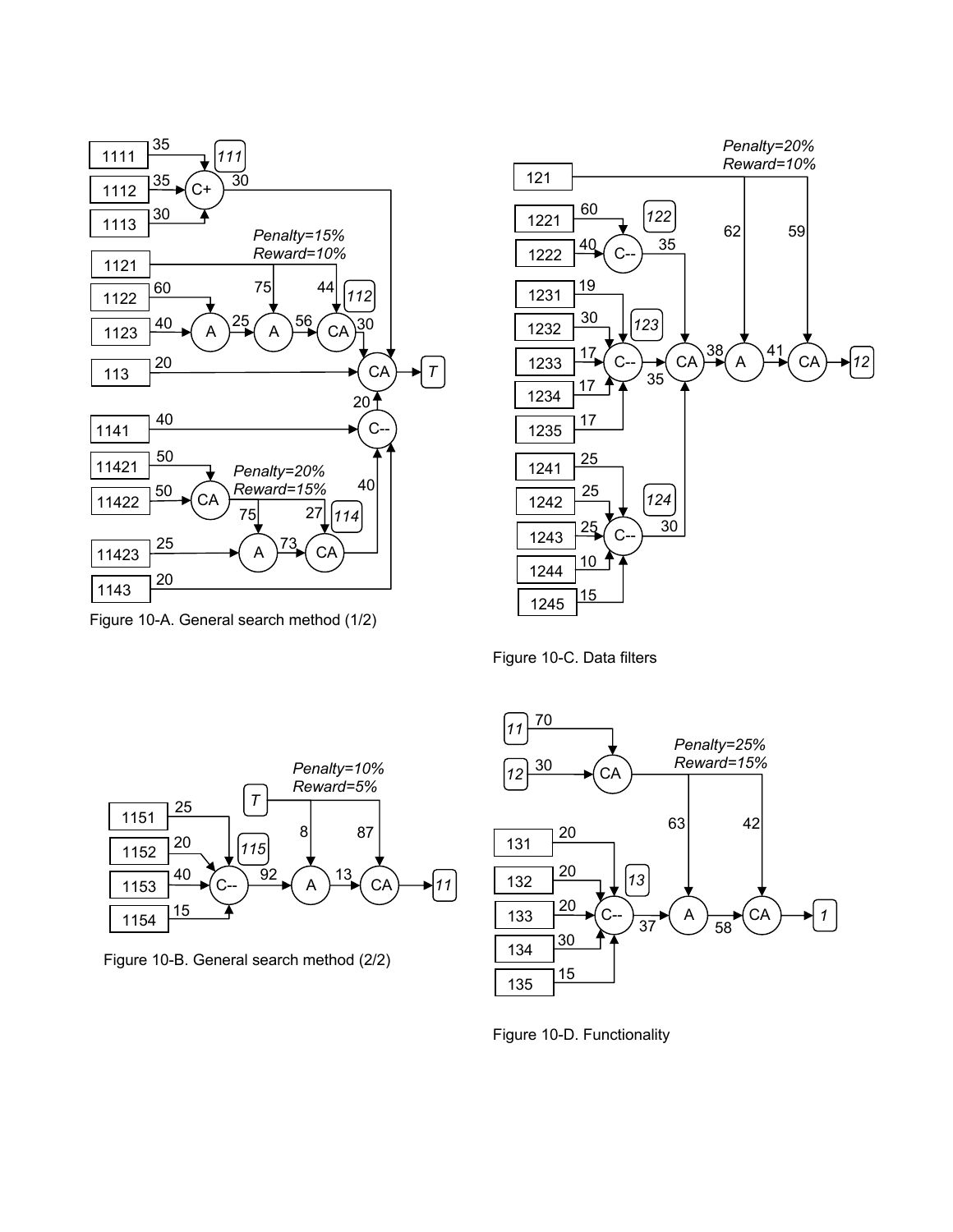

Figure 10-A. General search method (1/2)



Figure 10-C. Data filters



Figure 10-B. General search method (2/2)



Figure 10-D. Functionality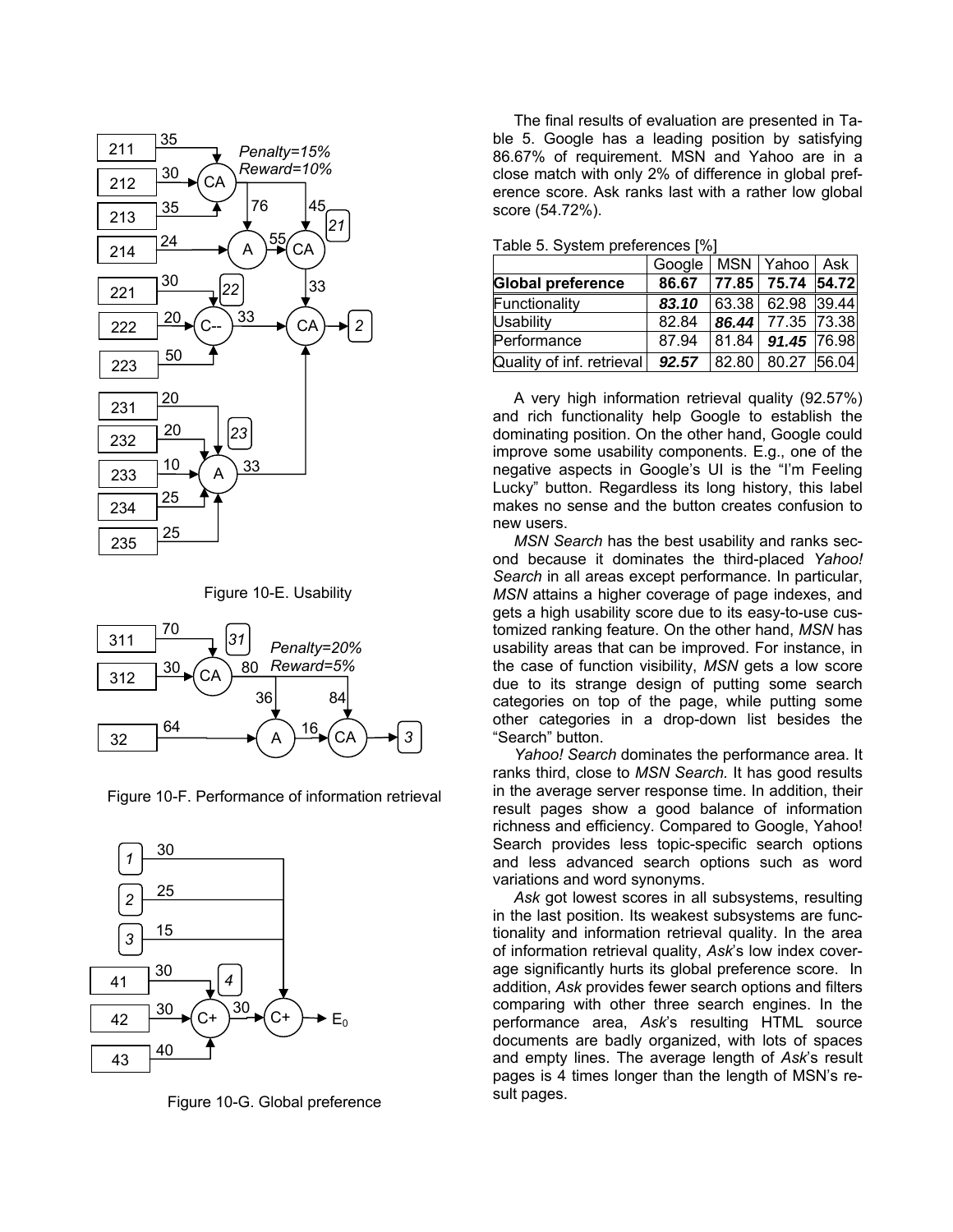

Figure 10-E. Usability



Figure 10-F. Performance of information retrieval



Figure 10-G. Global preference

The final results of evaluation are presented in Table 5. Google has a leading position by satisfying 86.67% of requirement. MSN and Yahoo are in a close match with only 2% of difference in global preference score. Ask ranks last with a rather low global score (54.72%).

|  | Table 5. System preferences [%] |
|--|---------------------------------|
|--|---------------------------------|

|                           | Google   MSN   Yahoo |                       | Ask l |
|---------------------------|----------------------|-----------------------|-------|
| <b>Global preference</b>  | 86.67                | 77.85   75.74   54.72 |       |
| Functionality             | 83.10                | 63.38 62.98 39.44     |       |
| <b>Usability</b>          | 82.84                | 86.44 77.35 73.38     |       |
| Performance               | 87.94                | 81.84   91.45   76.98 |       |
| Quality of inf. retrieval | 92.57                | 82.80 80.27 56.04     |       |

A very high information retrieval quality (92.57%) and rich functionality help Google to establish the dominating position. On the other hand, Google could improve some usability components. E.g., one of the negative aspects in Google's UI is the "I'm Feeling Lucky" button. Regardless its long history, this label makes no sense and the button creates confusion to new users.

*MSN Search* has the best usability and ranks second because it dominates the third-placed *Yahoo! Search* in all areas except performance. In particular, *MSN* attains a higher coverage of page indexes, and gets a high usability score due to its easy-to-use customized ranking feature. On the other hand, *MSN* has usability areas that can be improved. For instance, in the case of function visibility, *MSN* gets a low score due to its strange design of putting some search categories on top of the page, while putting some other categories in a drop-down list besides the "Search" button.

*Yahoo! Search* dominates the performance area. It ranks third, close to *MSN Search.* It has good results in the average server response time. In addition, their result pages show a good balance of information richness and efficiency. Compared to Google, Yahoo! Search provides less topic-specific search options and less advanced search options such as word variations and word synonyms.

*Ask* got lowest scores in all subsystems, resulting in the last position. Its weakest subsystems are functionality and information retrieval quality. In the area of information retrieval quality, *Ask*'s low index coverage significantly hurts its global preference score. In addition, *Ask* provides fewer search options and filters comparing with other three search engines. In the performance area, *Ask*'s resulting HTML source documents are badly organized, with lots of spaces and empty lines. The average length of *Ask*'s result pages is 4 times longer than the length of MSN's result pages.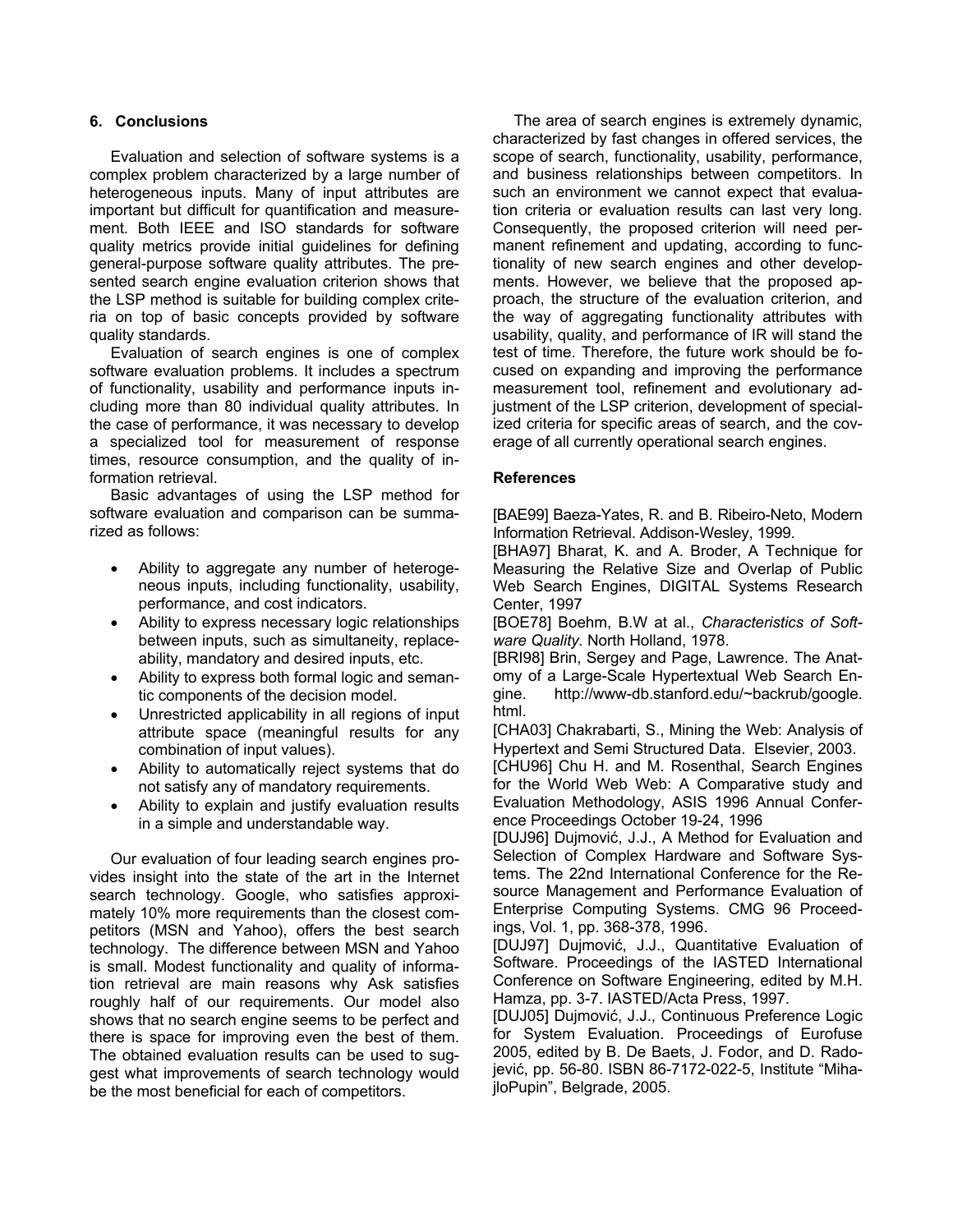# **6. Conclusions**

Evaluation and selection of software systems is a complex problem characterized by a large number of heterogeneous inputs. Many of input attributes are important but difficult for quantification and measurement. Both IEEE and ISO standards for software quality metrics provide initial guidelines for defining general-purpose software quality attributes. The presented search engine evaluation criterion shows that the LSP method is suitable for building complex criteria on top of basic concepts provided by software quality standards.

Evaluation of search engines is one of complex software evaluation problems. It includes a spectrum of functionality, usability and performance inputs including more than 80 individual quality attributes. In the case of performance, it was necessary to develop a specialized tool for measurement of response times, resource consumption, and the quality of information retrieval.

Basic advantages of using the LSP method for software evaluation and comparison can be summarized as follows:

- Ability to aggregate any number of heterogeneous inputs, including functionality, usability, performance, and cost indicators.
- Ability to express necessary logic relationships between inputs, such as simultaneity, replaceability, mandatory and desired inputs, etc.
- Ability to express both formal logic and semantic components of the decision model.
- Unrestricted applicability in all regions of input attribute space (meaningful results for any combination of input values).
- Ability to automatically reject systems that do not satisfy any of mandatory requirements.
- Ability to explain and justify evaluation results in a simple and understandable way.

Our evaluation of four leading search engines provides insight into the state of the art in the Internet search technology. Google, who satisfies approximately 10% more requirements than the closest competitors (MSN and Yahoo), offers the best search technology. The difference between MSN and Yahoo is small. Modest functionality and quality of information retrieval are main reasons why Ask satisfies roughly half of our requirements. Our model also shows that no search engine seems to be perfect and there is space for improving even the best of them. The obtained evaluation results can be used to suggest what improvements of search technology would be the most beneficial for each of competitors.

The area of search engines is extremely dynamic, characterized by fast changes in offered services, the scope of search, functionality, usability, performance, and business relationships between competitors. In such an environment we cannot expect that evaluation criteria or evaluation results can last very long. Consequently, the proposed criterion will need permanent refinement and updating, according to functionality of new search engines and other developments. However, we believe that the proposed approach, the structure of the evaluation criterion, and the way of aggregating functionality attributes with usability, quality, and performance of IR will stand the test of time. Therefore, the future work should be focused on expanding and improving the performance measurement tool, refinement and evolutionary adjustment of the LSP criterion, development of specialized criteria for specific areas of search, and the coverage of all currently operational search engines.

# **References**

[BAE99] Baeza-Yates, R. and B. Ribeiro-Neto, Modern Information Retrieval. Addison-Wesley, 1999.

[BHA97] Bharat, K. and A. Broder, A Technique for Measuring the Relative Size and Overlap of Public Web Search Engines, DIGITAL Systems Research Center, 1997

[BOE78] Boehm, B.W at al., *Characteristics of Software Quality.* North Holland, 1978.

[BRI98] Brin, Sergey and Page, Lawrence. The Anatomy of a Large-Scale Hypertextual Web Search Engine. http://www-db.stanford.edu/~backrub/google. html.

[CHA03] Chakrabarti, S., Mining the Web: Analysis of Hypertext and Semi Structured Data. Elsevier, 2003.

[CHU96] Chu H. and M. Rosenthal, Search Engines for the World Web Web: A Comparative study and Evaluation Methodology, ASIS 1996 Annual Conference Proceedings October 19-24, 1996

[DUJ96] Dujmović, J.J., A Method for Evaluation and Selection of Complex Hardware and Software Systems. The 22nd International Conference for the Resource Management and Performance Evaluation of Enterprise Computing Systems. CMG 96 Proceedings, Vol. 1, pp. 368-378, 1996.

[DUJ97] Dujmović, J.J., Quantitative Evaluation of Software. Proceedings of the IASTED International Conference on Software Engineering, edited by M.H. Hamza, pp. 3-7. IASTED/Acta Press, 1997.

[DUJ05] Dujmović, J.J., Continuous Preference Logic for System Evaluation. Proceedings of Eurofuse 2005, edited by B. De Baets, J. Fodor, and D. Radojević, pp. 56-80. ISBN 86-7172-022-5, Institute "MihajloPupin", Belgrade, 2005.